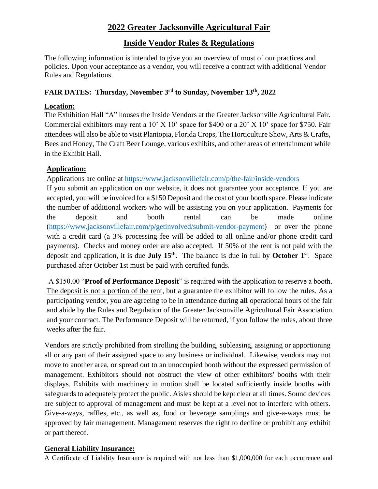# **2022 Greater Jacksonville Agricultural Fair**

# **Inside Vendor Rules & Regulations**

The following information is intended to give you an overview of most of our practices and policies. Upon your acceptance as a vendor, you will receive a contract with additional Vendor Rules and Regulations.

## **FAIR DATES: Thursday, November 3 rd to Sunday, November 13 th , 2022**

## **Location:**

The Exhibition Hall "A" houses the Inside Vendors at the Greater Jacksonville Agricultural Fair. Commercial exhibitors may rent a  $10'$  X  $10'$  space for \$400 or a  $20'$  X  $10'$  space for \$750. Fair attendees will also be able to visit Plantopia, Florida Crops, The Horticulture Show, Arts & Crafts, Bees and Honey, The Craft Beer Lounge, various exhibits, and other areas of entertainment while in the Exhibit Hall.

## **Application:**

Applications are online at https://www.jacksonvillefair.com/p/the-fair/inside-vendors

If you submit an application on our website, it does not guarantee your acceptance. If you are accepted, you will be invoiced for a \$150 Deposit and the cost of your booth space. Please indicate the number of additional workers who will be assisting you on your application. Payments for the deposit and booth rental can be made online [\(https://www.jacksonvillefair.com/p/getinvolved/submit-vendor-payment\)](https://www.jacksonvillefair.com/p/getinvolved/submit-vendor-payment) or over the phone with a credit card (a 3% processing fee will be added to all online and/or phone credit card payments). Checks and money order are also accepted. If 50% of the rent is not paid with the deposit and application, it is due **July 15th**. The balance is due in full by **October 1st** . Space purchased after October 1st must be paid with certified funds.

A \$150.00 "**Proof of Performance Deposit**" is required with the application to reserve a booth. The deposit is not a portion of the rent, but a guarantee the exhibitor will follow the rules. As a participating vendor, you are agreeing to be in attendance during **all** operational hours of the fair and abide by the Rules and Regulation of the Greater Jacksonville Agricultural Fair Association and your contract. The Performance Deposit will be returned, if you follow the rules, about three weeks after the fair.

Vendors are strictly prohibited from strolling the building, subleasing, assigning or apportioning all or any part of their assigned space to any business or individual. Likewise, vendors may not move to another area, or spread out to an unoccupied booth without the expressed permission of management. Exhibitors should not obstruct the view of other exhibitors' booths with their displays. Exhibits with machinery in motion shall be located sufficiently inside booths with safeguards to adequately protect the public. Aisles should be kept clear at all times. Sound devices are subject to approval of management and must be kept at a level not to interfere with others. Give-a-ways, raffles, etc., as well as, food or beverage samplings and give-a-ways must be approved by fair management. Management reserves the right to decline or prohibit any exhibit or part thereof.

## **General Liability Insurance:**

A Certificate of Liability Insurance is required with not less than \$1,000,000 for each occurrence and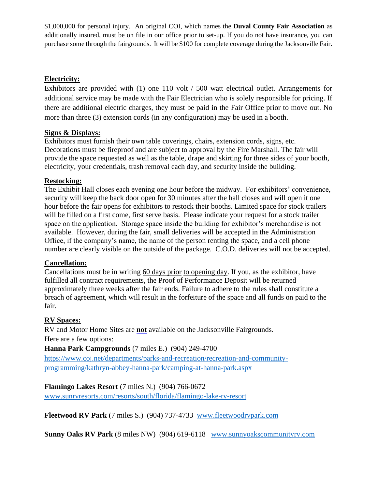\$1,000,000 for personal injury. An original COI, which names the **Duval County Fair Association** as additionally insured, must be on file in our office prior to set-up. If you do not have insurance, you can purchase some through the fairgrounds. It will be \$100 for complete coverage during the Jacksonville Fair.

## **Electricity:**

Exhibitors are provided with (1) one 110 volt / 500 watt electrical outlet. Arrangements for additional service may be made with the Fair Electrician who is solely responsible for pricing. If there are additional electric charges, they must be paid in the Fair Office prior to move out. No more than three (3) extension cords (in any configuration) may be used in a booth.

### **Signs & Displays:**

Exhibitors must furnish their own table coverings, chairs, extension cords, signs, etc. Decorations must be fireproof and are subject to approval by the Fire Marshall. The fair will provide the space requested as well as the table, drape and skirting for three sides of your booth, electricity, your credentials, trash removal each day, and security inside the building.

#### **Restocking:**

The Exhibit Hall closes each evening one hour before the midway. For exhibitors' convenience, security will keep the back door open for 30 minutes after the hall closes and will open it one hour before the fair opens for exhibitors to restock their booths. Limited space for stock trailers will be filled on a first come, first serve basis. Please indicate your request for a stock trailer space on the application. Storage space inside the building for exhibitor's merchandise is not available. However, during the fair, small deliveries will be accepted in the Administration Office, if the company's name, the name of the person renting the space, and a cell phone number are clearly visible on the outside of the package. C.O.D. deliveries will not be accepted.

#### **Cancellation:**

Cancellations must be in writing 60 days prior to opening day. If you, as the exhibitor, have fulfilled all contract requirements, the Proof of Performance Deposit will be returned approximately three weeks after the fair ends. Failure to adhere to the rules shall constitute a breach of agreement, which will result in the forfeiture of the space and all funds on paid to the fair.

## **RV Spaces:**

RV and Motor Home Sites are **not** available on the Jacksonville Fairgrounds. Here are a few options:

**Hanna Park Campgrounds** (7 miles E.) (904) 249-4700

[https://www.coj.net/departments/parks-and-recreation/recreation-and-community](https://www.coj.net/departments/parks-and-recreation/recreation-and-community-programming/kathryn-abbey-hanna-park/camping-at-hanna-park.aspx)[programming/kathryn-abbey-hanna-park/camping-at-hanna-park.aspx](https://www.coj.net/departments/parks-and-recreation/recreation-and-community-programming/kathryn-abbey-hanna-park/camping-at-hanna-park.aspx)

**Flamingo Lakes Resort** (7 miles N.) (904) 766-0672

[www.sunrvresorts.com/resorts/south/florida/flamingo-lake-rv-resort](http://www.sunrvresorts.com/resorts/south/florida/flamingo-lake-rv-resort)

**Fleetwood RV Park** (7 miles S.) (904) 737-4733 [www.fleetwoodrvpark.com](http://www.fleetwoodrvpark.com/)

**Sunny Oaks RV Park** (8 miles NW) (904) 619-6118 [www.sunnyoakscommunityrv.com](http://www.sunnyoakscommunityrv.com/)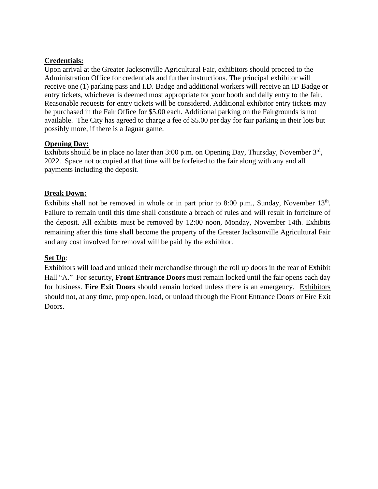### **Credentials:**

Upon arrival at the Greater Jacksonville Agricultural Fair, exhibitors should proceed to the Administration Office for credentials and further instructions. The principal exhibitor will receive one (1) parking pass and I.D. Badge and additional workers will receive an ID Badge or entry tickets, whichever is deemed most appropriate for your booth and daily entry to the fair. Reasonable requests for entry tickets will be considered. Additional exhibitor entry tickets may be purchased in the Fair Office for \$5.00 each. Additional parking on the Fairgrounds is not available. The City has agreed to charge a fee of \$5.00 per day for fair parking in their lots but possibly more, if there is a Jaguar game.

### **Opening Day:**

Exhibits should be in place no later than  $3:00$  p.m. on Opening Day, Thursday, November  $3<sup>rd</sup>$ , 2022. Space not occupied at that time will be forfeited to the fair along with any and all payments including the deposit.

## **Break Down:**

Exhibits shall not be removed in whole or in part prior to 8:00 p.m., Sunday, November  $13<sup>th</sup>$ . Failure to remain until this time shall constitute a breach of rules and will result in forfeiture of the deposit. All exhibits must be removed by 12:00 noon, Monday, November 14th. Exhibits remaining after this time shall become the property of the Greater Jacksonville Agricultural Fair and any cost involved for removal will be paid by the exhibitor.

## **Set Up**:

Exhibitors will load and unload their merchandise through the roll up doors in the rear of Exhibit Hall "A." For security, **Front Entrance Doors** must remain locked until the fair opens each day for business. **Fire Exit Doors** should remain locked unless there is an emergency. Exhibitors should not, at any time, prop open, load, or unload through the Front Entrance Doors or Fire Exit Doors.